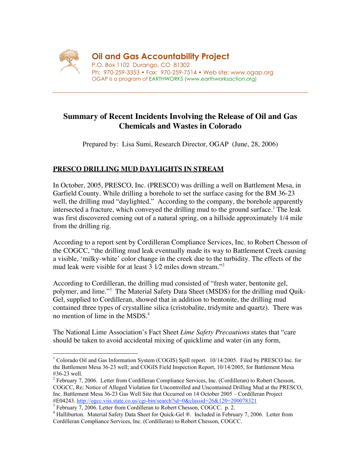

**Oil and Gas Accountability Project**

P.O. Box 1102 Durango, CO 81302 Ph: 970-259-3353 • Fax: 970-259-7514 • Web site: www.ogap.org OGAP is a program of EARTHWORKS (www.earthworksaction.org)

# **Summary of Recent Incidents Involving the Release of Oil and Gas Chemicals and Wastes in Colorado**

Prepared by: Lisa Sumi, Research Director, OGAP (June, 28, 2006)

## **PRESCO DRILLING MUD DAYLIGHTS IN STREAM**

In October, 2005, PRESCO, Inc. (PRESCO) was drilling a well on Battlement Mesa, in Garfield County. While drilling a borehole to set the surface casing for the BM 36-23 well, the drilling mud "daylighted." According to the company, the borehole apparently intersected a fracture, which conveyed the drilling mud to the ground surface.<sup>1</sup> The leak was first discovered coming out of a natural spring, on a hillside approximately 1/4 mile from the drilling rig.

According to a report sent by Cordilleran Compliance Services, Inc. to Robert Chesson of the COGCC, "the drilling mud leak eventually made its way to Battlement Creek causing a visible, 'milky-white' color change in the creek due to the turbidity. The effects of the mud leak were visible for at least 3 1⁄2 miles down stream."2

According to Cordilleran, the drilling mud consisted of "fresh water, bentonite gel, polymer, and lime."<sup>3</sup> The Material Safety Data Sheet (MSDS) for the drilling mud Quik-Gel, supplied to Cordilleran, showed that in addition to bentonite, the drilling mud contained three types of crystalline silica (cristobalite, tridymite and quartz). There was no mention of lime in the MSDS.<sup>4</sup>

The National Lime Association's Fact Sheet *Lime Safety Precautions* states that "care should be taken to avoid accidental mixing of quicklime and water (in any form,

 $\frac{1}{1}$ <sup>1</sup> Colorado Oil and Gas Information System (COGIS) Spill report. 10/14/2005. Filed by PRESCO Inc. for the Battlement Mesa 36-23 well; and COGIS Field Inspection Report, 10/14/2005, for Battlement Mesa #36-23 well.

 $2^2$  February 7, 2006. Letter from Cordilleran Compliance Services, Inc. (Cordilleran) to Robert Chesson, COGCC, Re: Notice of Alleged Violation for Uncontrolled and Uncontained Drilling Mud at the PRESCO, Inc. Battlement Mesa 36-23 Gas Well Site that Occurred on 14 October 2005 – Cordilleran Project #E04243. http://ogcc.viis.state.co.us/cgi-bin/search?id=0&classid=26&120=200078321 <sup>3</sup>

<sup>&</sup>lt;sup>3</sup> February 7, 2006. Letter from Cordilleran to Robert Chesson, COGCC. p. 2.

<sup>&</sup>lt;sup>4</sup> Halliburton. Material Safety Data Sheet for Quick-Gel ®. Included in February 7, 2006. Letter from Cordilleran Compliance Services, Inc. (Cordilleran) to Robert Chesson, COGCC.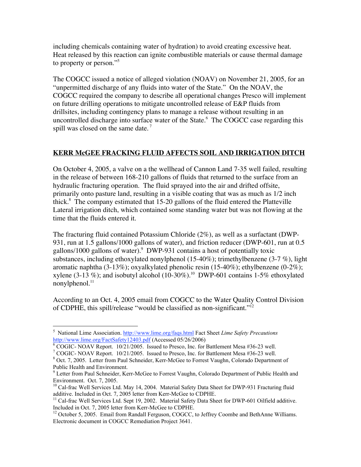including chemicals containing water of hydration) to avoid creating excessive heat. Heat released by this reaction can ignite combustible materials or cause thermal damage to property or person."5

The COGCC issued a notice of alleged violation (NOAV) on November 21, 2005, for an "unpermitted discharge of any fluids into water of the State." On the NOAV, the COGCC required the company to describe all operational changes Presco will implement on future drilling operations to mitigate uncontrolled release of E&P fluids from drillsites, including contingency plans to manage a release without resulting in an uncontrolled discharge into surface water of the State. $6\text{ }$  The COGCC case regarding this spill was closed on the same date.<sup>7</sup>

#### **KERR McGEE FRACKING FLUID AFFECTS SOIL AND IRRIGATION DITCH**

On October 4, 2005, a valve on a the wellhead of Cannon Land 7-35 well failed, resulting in the release of between 168-210 gallons of fluids that returned to the surface from an hydraulic fracturing operation. The fluid sprayed into the air and drifted offsite, primarily onto pasture land, resulting in a visible coating that was as much as 1/2 inch thick. $8$  The company estimated that 15-20 gallons of the fluid entered the Platteville Lateral irrigation ditch, which contained some standing water but was not flowing at the time that the fluids entered it.

The fracturing fluid contained Potassium Chloride (2%), as well as a surfactant (DWP-931, run at 1.5 gallons/1000 gallons of water), and friction reducer (DWP-601, run at 0.5 gallons/1000 gallons of water). DWP-931 contains a host of potentially toxic substances, including ethoxylated nonylphenol (15-40%); trimethylbenzene (3-7 %), light aromatic naphtha (3-13%); oxyalkylated phenolic resin (15-40%); ethylbenzene (0-2%); xylene (3-13 %); and isobutyl alcohol (10-30%).<sup>10</sup> DWP-601 contains 1-5% ethoxylated nonylphenol. $^{11}$ 

According to an Oct. 4, 2005 email from COGCC to the Water Quality Control Division of CDPHE, this spill/release "would be classified as non-significant."12

5 <sup>5</sup> National Lime Association. http://www.lime.org/faqs.html Fact Sheet *Lime Safety Precautions* http://www.lime.org/FactSafety12403.pdf (Accessed 05/26/2006)

 $6 \text{ COGIC}$ - NOAV Report.  $10/21/2005$ . Issued to Presco, Inc. for Battlement Mesa #36-23 well.

<sup>&</sup>lt;sup>7</sup> COGIC- NOAV Report. 10/21/2005. Issued to Presco, Inc. for Battlement Mesa #36-23 well.

<sup>&</sup>lt;sup>8</sup> Oct. 7, 2005. Letter from Paul Schneider, Kerr-McGee to Forrest Vaughn, Colorado Department of Public Health and Environment.

<sup>&</sup>lt;sup>9</sup> Letter from Paul Schneider, Kerr-McGee to Forrest Vaughn, Colorado Department of Public Health and Environment. Oct. 7, 2005.

<sup>&</sup>lt;sup>10</sup> Cal-frac Well Services Ltd. May 14, 2004. Material Safety Data Sheet for DWP-931 Fracturing fluid additive. Included in Oct. 7, 2005 letter from Kerr-McGee to CDPHE.

<sup>&</sup>lt;sup>11</sup> Cal-frac Well Services Ltd. Sept 19, 2002. Material Safety Data Sheet for DWP-601 Oilfield additive. Included in Oct. 7, 2005 letter from Kerr-McGee to CDPHE.

<sup>&</sup>lt;sup>12</sup> October 5, 2005. Email from Randall Ferguson, COGCC, to Jeffrey Coombe and BethAnne Williams. Electronic document in COGCC Remediation Project 3641.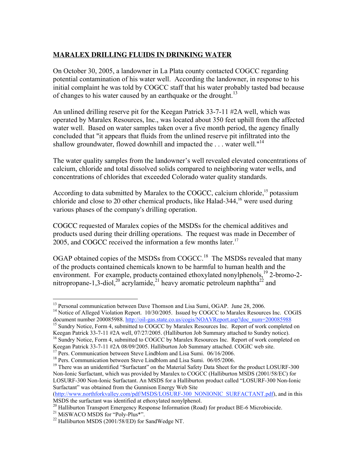### **MARALEX DRILLING FLUIDS IN DRINKING WATER**

On October 30, 2005, a landowner in La Plata county contacted COGCC regarding potential contamination of his water well. According the landowner, in response to his initial complaint he was told by COGCC staff that his water probably tasted bad because of changes to his water caused by an earthquake or the drought.<sup>13</sup>

An unlined drilling reserve pit for the Keegan Patrick 33-7-11 #2A well, which was operated by Maralex Resources, Inc., was located about 350 feet uphill from the affected water well. Based on water samples taken over a five month period, the agency finally concluded that "it appears that fluids from the unlined reserve pit infiltrated into the shallow groundwater, flowed downhill and impacted the  $\dots$  water well."<sup>14</sup>

The water quality samples from the landowner's well revealed elevated concentrations of calcium, chloride and total dissolved solids compared to neighboring water wells, and concentrations of chlorides that exceeded Colorado water quality standards.

According to data submitted by Maralex to the COGCC, calcium chloride,<sup>15</sup> potassium chloride and close to 20 other chemical products, like Halad- $344$ ,<sup>16</sup> were used during various phases of the company's drilling operation.

COGCC requested of Maralex copies of the MSDSs for the chemical additives and products used during their drilling operations. The request was made in December of 2005, and COGCC received the information a few months later.<sup>17</sup>

OGAP obtained copies of the MSDSs from COGCC.<sup>18</sup> The MSDSs revealed that many of the products contained chemicals known to be harmful to human health and the environment. For example, products contained ethoxylated nonylphenols,<sup>19</sup> 2-bromo-2nitropropane-1,3-diol,<sup>20</sup> acrylamide,<sup>21</sup> heavy aromatic petroleum naphtha<sup>22</sup> and

(http://www.northforkvalley.com/pdf/MSDS/LOSURF-300\_NONIONIC\_SURFACTANT.pdf), and in this MSDS the surfactant was identified at ethoxylated nonylphenol.

<sup>20</sup> Halliburton Transport Emergency Response Information (Road) for product BE-6 Microbiocide.

<sup>&</sup>lt;sup>13</sup> Personal communication between Dave Thomson and Lisa Sumi, OGAP. June 28, 2006.

<sup>&</sup>lt;sup>14</sup> Notice of Alleged Violation Report. 10/30/2005. Issued by COGCC to Maralex Resources Inc. COGIS document number 200085988. http://oil-gas.state.co.us/cogis/NOAVReport.asp?doc\_num=200085988<br><sup>15</sup> Sundry Notice, Form 4, submitted to COGCC by Maralex Resources Inc. Report of work completed on

Keegan Patrick 33-7-11 #2A well, 07/27/2005. (Halliburton Job Summary attached to Sundry notice).

<sup>&</sup>lt;sup>16</sup> Sundry Notice, Form 4, submitted to COGCC by Maralex Resources Inc. Report of work completed on Keegan Patrick 33-7-11 #2A 08/09/2005. Halliburton Job Summary attached. COGIC web site.

<sup>&</sup>lt;sup>17</sup> Pers. Communication between Steve Lindblom and Lisa Sumi. 06/16/2006.

<sup>&</sup>lt;sup>18</sup> Pers. Communication between Steve Lindblom and Lisa Sumi. 06/05/2006.

<sup>&</sup>lt;sup>19</sup> There was an unidentified "Surfactant" on the Material Safety Data Sheet for the product LOSURF-300 Non-Ionic Surfactant, which was provided by Maralex to COGCC (Halliburton MSDS (2001/58/EC) for LOSURF-300 Non-Ionic Surfactant. An MSDS for a Halliburton product called "LOSURF-300 Non-Ionic Surfactant" was obtained from the Gunnison Energy Web Site

<sup>&</sup>lt;sup>21</sup> MiSWACO MSDS for "Poly-Plus\*".

 $^{22}$  Halliburton MSDS (2001/58/ED) for SandWedge NT.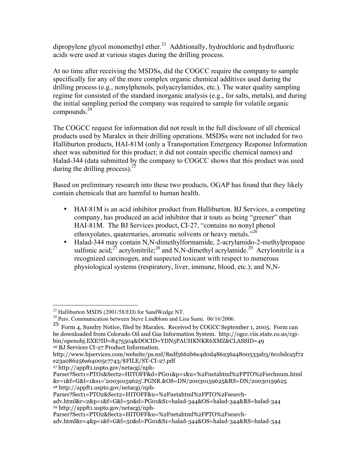dipropylene glycol monomethyl ether.<sup>23</sup> Additionally, hydrochloric and hydrofluoric acids were used at various stages during the drilling process.

At no time after receiving the MSDSs, did the COGCC require the company to sample specifically for any of the more complex organic chemical additives used during the drilling process (e.g., nonylphenols, polyacrylamides, etc.). The water quality sampling regime for consisted of the standard inorganic analysis (e.g., for salts, metals), and during the initial sampling period the company was required to sample for volatile organic compounds. $24$ 

The COGCC request for information did not result in the full disclosure of all chemical products used by Maralex in their drilling operations. MSDSs were not included for two Halliburton products, HAI-81M (only a Transportation Emergency Response Information sheet was submitted for this product; it did not contain specific chemical names) and Halad-344 (data submitted by the company to COGCC shows that this product was used during the drilling process).  $25$ 

Based on preliminary research into these two products, OGAP has found that they likely contain chemicals that are harmful to human health.

- HAI-81M is an acid inhibitor product from Halliburton. BJ Services, a competing company, has produced an acid inhibitor that it touts as being "greener" than HAI-81M. The BJ Services product, CI-27, "contains no nonyl phenol ethoxyolates, quaternaries, aromatic solvents or heavy metals. $"^{26}$
- Halad-344 may contain N,N-dimethylformamide, 2-acrylamido-2-methylpropane sulfonic acid;<sup>27</sup> acrylonitrile;<sup>28</sup> and N,N-dimethyl acrylamide.<sup>29</sup> Acrylonitrile is a recognized carcinogen, and suspected toxicant with respect to numerous physiological systems (respiratory, liver, immune, blood, etc.); and N,N-

<sup>&</sup>lt;sup>23</sup> Halliburton MSDS (2001/58/ED) for SandWedge NT.

<sup>&</sup>lt;sup>24</sup> Pers. Communication between Steve Lindblom and Lisa Sumi. 06/16/2006.

<sup>25</sup> Form 4, Sundry Notice, filed by Maralex. Received by COGCC September 1, 2005. Form can be downloaded from Colorado Oil and Gas Information System. http://ogcc.viis.state.co.us/cgibin/openobj.EXE?ID=8475504&DOCID=YDN5PAUHKNKR6XMZ&CLASSID=49

<sup>26</sup> BJ Services CI-27 Product Information.

http://www.bjservices.com/website/ps.nsf/8adf5662b6e4d0d486256a4800533ab3/601bdca5f72 e23a086256a64005c7743/\$FILE/ST-CI-27.pdf

<sup>27</sup> http://appft1.uspto.gov/netacgi/nph-

Parser?Sect1=PTO1&Sect2=HITOFF&d=PG01&p=1&u=%2Fnetahtml%2FPTO%2Fsrchnum.html &r=1&f=G&l=1&s1='20030159625'.PGNR.&OS=DN/20030159625&RS=DN/20030159625 28 http://appft1.uspto.gov/netacgi/nph-

Parser?Sect1=PTO2&Sect2=HITOFF&u=%2Fnetahtml%2FPTO%2Fsearch-

adv.html&r=2&p=1&f=G&l=50&d=PG01&S1=halad-344&OS=halad-344&RS=halad-344 29 http://appft1.uspto.gov/netacgi/nph-

Parser?Sect1=PTO2&Sect2=HITOFF&u=%2Fnetahtml%2FPTO%2Fsearch-

adv.html&r=4&p=1&f=G&l=50&d=PG01&S1=halad-344&OS=halad-344&RS=halad-344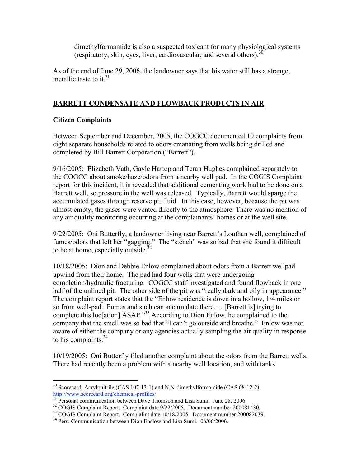dimethylformamide is also a suspected toxicant for many physiological systems (respiratory, skin, eyes, liver, cardiovascular, and several others).<sup>30</sup>

As of the end of June 29, 2006, the landowner says that his water still has a strange, metallic taste to it  $31$ 

#### BARRETT CONDENSATE AND FLOWBACK PRODUCTS IN AIR

#### Citizen Complaints

Between September and December, 2005, the COGCC documented 10 complaints from eight separate households related to odors emanating from wells being drilled and completed by Bill Barrett Corporation ("Barrett").

9/16/2005: Elizabeth Vath, Gayle Hartop and Teran Hughes complained separately to the COGCC about smoke/haze/odors from a nearby well pad. In the COGIS Complaint report for this incident, it is revealed that additional cementing work had to be done on a Barrett well, so pressure in the well was released. Typically, Barrett would sparge the accumulated gases through reserve pit fluid. In this case, however, because the pit was almost empty, the gases were vented directly to the atmosphere. There was no mention of any air quality monitoring occurring at the complainants' homes or at the well site.

9/22/2005: Oni Butterfly, a landowner living near Barrett's Louthan well, complained of fumes/odors that left her "gagging." The "stench" was so bad that she found it difficult to be at home, especially outside. $3$ 

10/18/2005: Dion and Debbie Enlow complained about odors from a Barrett wellpad upwind from their home. The pad had four wells that were undergoing completion/hydraulic fracturing. COGCC staff investigated and found flowback in one half of the unlined pit. The other side of the pit was "really dark and oily in appearance." The complaint report states that the "Enlow residence is down in a hollow, 1/4 miles or so from well-pad. Fumes and such can accumulate there. . . [Barrett is] trying to complete this loc[ation] ASAP."<sup>33</sup> According to Dion Enlow, he complained to the company that the smell was so bad that "I can't go outside and breathe." Enlow was not aware of either the company or any agencies actually sampling the air quality in response to his complaints. $34$ 

10/19/2005: Oni Butterfly filed another complaint about the odors from the Barrett wells. There had recently been a problem with a nearby well location, and with tanks

<sup>&</sup>lt;sup>30</sup> Scorecard. Acrylonitrile (CAS 107-13-1) and N,N-dimethylformamide (CAS 68-12-2). http://www.scorecard.org/chemical-profiles/

<sup>&</sup>lt;sup>31</sup> Personal communication between Dave Thomson and Lisa Sumi. June 28, 2006.

<sup>&</sup>lt;sup>32</sup> COGIS Complaint Report. Complaint date 9/22/2005. Document number 200081430.

<sup>&</sup>lt;sup>33</sup> COGIS Complaint Report. Complalint date 10/18/2005. Document number 200082039.

<sup>&</sup>lt;sup>34</sup> Pers. Communication between Dion Enslow and Lisa Sumi. 06/06/2006.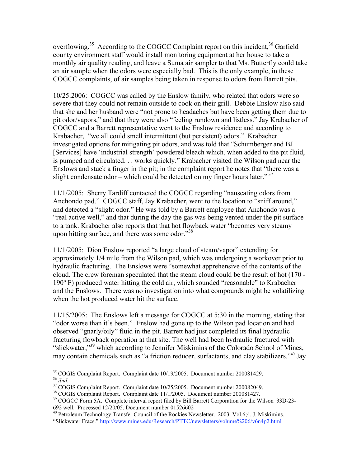overflowing.<sup>35</sup> According to the COGCC Complaint report on this incident,<sup>36</sup> Garfield county environment staff would install monitoring equipment at her house to take a monthly air quality reading, and leave a Suma air sampler to that Ms. Butterfly could take an air sample when the odors were especially bad. This is the only example, in these COGCC complaints, of air samples being taken in response to odors from Barrett pits.

10/25:2006: COGCC was called by the Enslow family, who related that odors were so severe that they could not remain outside to cook on their grill. Debbie Enslow also said that she and her husband were "not prone to headaches but have been getting them due to pit odor/vapors," and that they were also "feeling rundown and listless." Jay Krabacher of COGCC and a Barrett representative went to the Enslow residence and according to Krabacher, "we all could smell intermittent (but persistent) odors." Krabacher investigated options for mitigating pit odors, and was told that "Schumberger and BJ [Services] have 'industrial strength' powdered bleach which, when added to the pit fluid, is pumped and circulated. . . works quickly." Krabacher visited the Wilson pad near the Enslows and stuck a finger in the pit; in the complaint report he notes that "there was a slight condensate odor – which could be detected on my finger hours later."<sup>37</sup>

11/1/2005: Sherry Tardiff contacted the COGCC regarding "nauseating odors from Anchondo pad." COGCC staff, Jay Krabacher, went to the location to "sniff around," and detected a "slight odor." He was told by a Barrett employee that Anchondo was a "real active well," and that during the day the gas was being vented under the pit surface to a tank. Krabacher also reports that that hot flowback water "becomes very steamy upon hitting surface, and there was some odor."<sup>38</sup>

11/1/2005: Dion Enslow reported "a large cloud of steam/vapor" extending for approximately 1/4 mile from the Wilson pad, which was undergoing a workover prior to hydraulic fracturing. The Enslows were "somewhat apprehensive of the contents of the cloud. The crew foreman speculated that the steam cloud could be the result of hot (170 - 190º F) produced water hitting the cold air, which sounded "reasonable" to Krabacher and the Enslows. There was no investigation into what compounds might be volatilizing when the hot produced water hit the surface.

11/15/2005: The Enslows left a message for COGCC at 5:30 in the morning, stating that "odor worse than it's been." Enslow had gone up to the Wilson pad location and had observed "gnarly/oily" fluid in the pit. Barrett had just completed its final hydraulic fracturing flowback operation at that site. The well had been hydraulic fractured with "slickwater,"<sup>39</sup> which according to Jennifer Miskimins of the Colorado School of Mines, may contain chemicals such as "a friction reducer, surfactants, and clay stabilizers."<sup>40</sup> Jay

35 COGIS Complaint Report. Complaint date 10/19/2005. Document number 200081429. <sup>36</sup> *ibid.* 

 $37 \overline{{\rm COGIS}}$  Complaint Report. Complaint date 10/25/2005. Document number 200082049.

<sup>38</sup> COGIS Complaint Report. Complaint date 11/1/2005. Document number 200081427.

<sup>&</sup>lt;sup>39</sup> COGCC Form 5A. Complete interval report filed by Bill Barrett Corporation for the Wilson 33D-23-692 well. Processed 12/20/05. Document number 01526602

<sup>&</sup>lt;sup>40</sup> Petroleum Technology Transfer Council of the Rockies Newsletter. 2003. Vol.6;4. J. Miskimins. "Slickwater Fracs." http://www.mines.edu/Research/PTTC/newsletters/volume%206/v6n4p2.html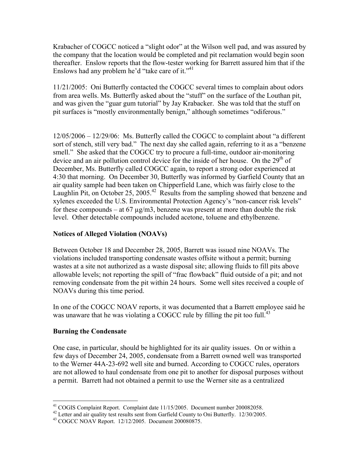Krabacher of COGCC noticed a "slight odor" at the Wilson well pad, and was assured by the company that the location would be completed and pit reclamation would begin soon thereafter. Enslow reports that the flow-tester working for Barrett assured him that if the Enslows had any problem he'd "take care of it."<sup>41</sup>

11/21/2005: Oni Butterfly contacted the COGCC several times to complain about odors from area wells. Ms. Butterfly asked about the "stuff" on the surface of the Louthan pit, and was given the "guar gum tutorial" by Jay Krabacker. She was told that the stuff on pit surfaces is "mostly environmentally benign," although sometimes "odiferous."

12/05/2006 – 12/29/06: Ms. Butterfly called the COGCC to complaint about "a different sort of stench, still very bad." The next day she called again, referring to it as a "benzene smell." She asked that the COGCC try to procure a full-time, outdoor air-monitoring device and an air pollution control device for the inside of her house. On the  $29<sup>th</sup>$  of December, Ms. Butterfly called COGCC again, to report a strong odor experienced at 4:30 that morning. On December 30, Butterfly was informed by Garfield County that an air quality sample had been taken on Chipperfield Lane, which was fairly close to the Laughlin Pit, on October 25, 2005.<sup>42</sup> Results from the sampling showed that benzene and xylenes exceeded the U.S. Environmental Protection Agency's "non-cancer risk levels" for these compounds – at 67  $\mu$ g/m3, benzene was present at more than double the risk level. Other detectable compounds included acetone, toluene and ethylbenzene.

#### Notices of Alleged Violation (NOAVs)

Between October 18 and December 28, 2005, Barrett was issued nine NOAVs. The violations included transporting condensate wastes offsite without a permit; burning wastes at a site not authorized as a waste disposal site; allowing fluids to fill pits above allowable levels; not reporting the spill of "frac flowback" fluid outside of a pit; and not removing condensate from the pit within 24 hours. Some well sites received a couple of NOAVs during this time period.

In one of the COGCC NOAV reports, it was documented that a Barrett employee said he was unaware that he was violating a COGCC rule by filling the pit too full.<sup>43</sup>

#### Burning the Condensate

One case, in particular, should be highlighted for its air quality issues. On or within a few days of December 24, 2005, condensate from a Barrett owned well was transported to the Werner 44A-23-692 well site and burned. According to COGCC rules, operators are not allowed to haul condensate from one pit to another for disposal purposes without a permit. Barrett had not obtained a permit to use the Werner site as a centralized

41 COGIS Complaint Report. Complaint date 11/15/2005. Document number 200082058.

<sup>&</sup>lt;sup>42</sup> Letter and air quality test results sent from Garfield County to Oni Butterfly. 12/30/2005.

<sup>43</sup> COGCC NOAV Report. 12/12/2005. Document 200080875.